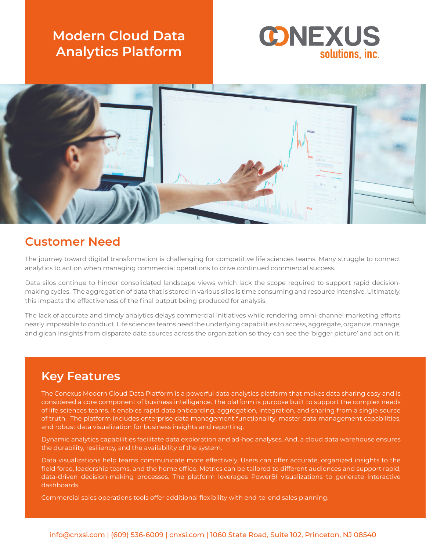# **Modern Cloud Data Analytics Platform**





### **Customer Need**

The journey toward digital transformation is challenging for competitive life sciences teams. Many struggle to connect analytics to action when managing commercial operations to drive continued commercial success.

Data silos continue to hinder consolidated landscape views which lack the scope required to support rapid decisionmaking cycles. The aggregation of data that is stored in various silos is time consuming and resource intensive. Ultimately, this impacts the effectiveness of the final output being produced for analysis.

The lack of accurate and timely analytics delays commercial initiatives while rendering omni-channel marketing efforts nearly impossible to conduct. Life sciences teams need the underlying capabilities to access, aggregate, organize, manage, and glean insights from disparate data sources across the organization so they can see the 'bigger picture' and act on it.

# **Key Features**

The Conexus Modern Cloud Data Platform is a powerful data analytics platform that makes data sharing easy and is considered a core component of business intelligence. The platform is purpose built to support the complex needs of life sciences teams. It enables rapid data onboarding, aggregation, integration, and sharing from a single source of truth. The platform includes enterprise data management functionality, master data management capabilities, and robust data visualization for business insights and reporting.

Dynamic analytics capabilities facilitate data exploration and ad-hoc analyses. And, a cloud data warehouse ensures the durability, resiliency, and the availability of the system.

Data visualizations help teams communicate more effectively. Users can offer accurate, organized insights to the field force, leadership teams, and the home office. Metrics can be tailored to different audiences and support rapid, data-driven decision-making processes. The platform leverages PowerBI visualizations to generate interactive dashboards.

Commercial sales operations tools offer additional flexibility with end-to-end sales planning.